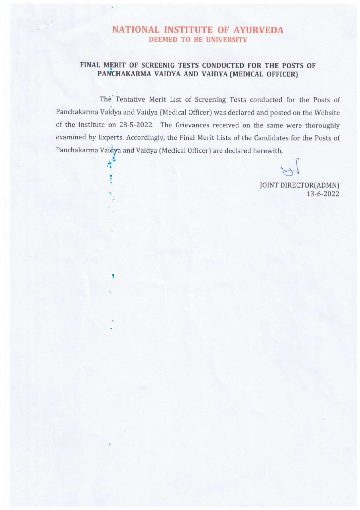# NATIONAL INSTITUTE OF AYURVEDA DEEMED TO BE UNIVERSITY

# FINAL MERIT OF SCREENIG TESTS CONDUCTED FOR THE POSTS OF PANCHAKARMA VAIDYA AND VAIDYA (MEDICAL OFFICER)

The' Tentative Merit List of Screening Tests conducted for the Posts of Panchakarma Vaidya and Vaidya (Medical Officer) was declared and posted on the Website of the Institute on 28-5-2022. The Grievances received on the same were thoroughly examined by Experts. Accordingly, the Final Merit Lists of the Candidates for the Posts of Panchakarma Vaidya and Vaidya (Medical Officer) are declared herewith.

 $\ddot{\cdot}$ 

t

JOINT DIRECTOR(ADMN) 13-6-2022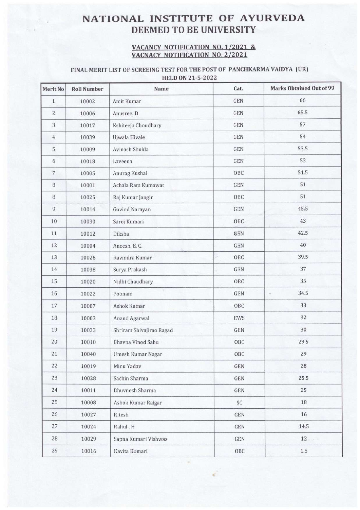# NATIONAL INSTITUTE OF AYURVEDA DEEMED TO BE UNIVERSITY

#### VACANCY NOTIFICATION NO. 1/2021 & VACNACY NOTIFICATION NO. 2/2021

### FINAL MERIT LIST OF SCREEING TEST FOR THE POST OF PANCHKARMA VAIDYA (UR) HELD ON 21-5-2022

| Merit No       | <b>Roll Number</b> | Name                     | Cat.                    | <b>Marks Obtained Out of 99</b> |
|----------------|--------------------|--------------------------|-------------------------|---------------------------------|
| $\mathbf{1}$   | 10002              | Amit Kumar               | GEN                     | 66                              |
| $\sqrt{2}$     | 10006              | Anusree. D               | GEN                     | 65.5                            |
| 3              | 10017              | Kshiteeja Choudhary      | GEN                     | 57                              |
| $\overline{4}$ | 10039              | Ujwala Hivale            | GEN                     | 54                              |
| 5              | 10009              | Avinash Shukla           | GEN                     | 53.5                            |
| 6              | 10018              | Laveena                  | GEN                     | 53                              |
| $\sqrt{7}$     | 10005              | Anurag Kushal            | OBC                     | 51.5                            |
| $\, 8$         | 10001              | Achala Ram Kumawat       | $\mathop{\mathrm{GEN}}$ | 51                              |
| $\, 8$         | 10025              | Raj Kumar Jangir         | OBC                     | 51                              |
| $\overline{9}$ | 10014              | Govind Narayan           | $\operatorname{GEN}$    | 45.5                            |
| 10             | 10030              | Saroj Kumari             | OBC                     | 43                              |
| 11             | 10012              | Diksha                   | GEN                     | 42.5                            |
| 12             | 10004              | Aneesh. E. C.            | GEN                     | 40                              |
| 13             | 10026              | Ravindra Kumar           | OBC                     | 39.5                            |
| $14\,$         | 10038              | Surya Prakash            | <b>GEN</b>              | 37                              |
| 15             | 10020              | Nidhi Chaudhary          | OBC                     | 35                              |
| 16             | 10022              | Poonam                   | GEN                     | 34.5<br>$\epsilon$              |
| $17\,$         | 10007              | Ashok Kumar              | OBC                     | 33                              |
| $18\,$         | 10003              | Anand Agarwal            | <b>EWS</b>              | 32                              |
| 19             | 10033              | Shriram Shivajirao Ragad | <b>GEN</b>              | 30                              |
| 20             | 10010              | Bhavna Vinod Sahu        | OBC                     | 29.5                            |
| $21\,$         | 10040              | Umesh Kumar Nagar        | OBC                     | 29                              |
| 22             | 10019              | Minu Yadav               | GEN                     | 28                              |
| 23             | 10028              | Sachin Sharma            | GEN                     | 25.5                            |
| 24             | 10011              | <b>Bhuvnesh Sharma</b>   | GEN                     | 25                              |
| 25             | 10008              | Ashok Kumar Raigar       | SC                      | 18                              |
| 26             | 10027              | Ritesh                   | GEN                     | 16                              |
| 27             | 10024              | Rahul . H                | GEN                     | 14.5                            |
| 28             | 10029              | Sapna Kumari Vishwas     | GEN                     | $12 -$                          |
| 29             | 10016              | Kavita Kumari            | OBC                     | 1.5                             |